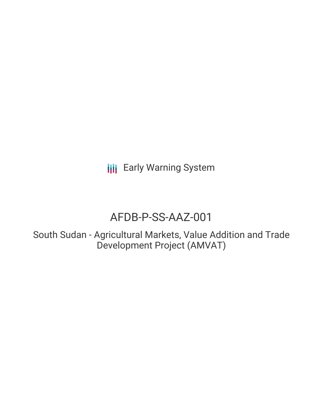**III** Early Warning System

# AFDB-P-SS-AAZ-001

South Sudan - Agricultural Markets, Value Addition and Trade Development Project (AMVAT)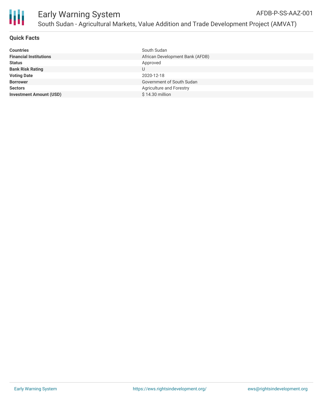

# **Quick Facts**

| South Sudan                     |
|---------------------------------|
| African Development Bank (AFDB) |
| Approved                        |
|                                 |
| 2020-12-18                      |
| Government of South Sudan       |
| Agriculture and Forestry        |
| \$14.30 million                 |
|                                 |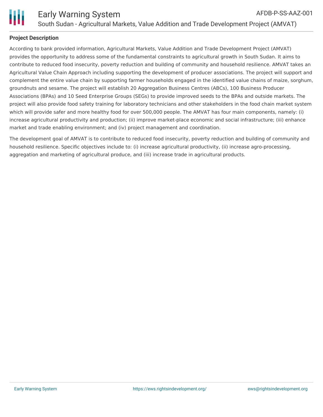

# **Project Description**

According to bank provided information, Agricultural Markets, Value Addition and Trade Development Project (AMVAT) provides the opportunity to address some of the fundamental constraints to agricultural growth in South Sudan. It aims to contribute to reduced food insecurity, poverty reduction and building of community and household resilience. AMVAT takes an Agricultural Value Chain Approach including supporting the development of producer associations. The project will support and complement the entire value chain by supporting farmer households engaged in the identified value chains of maize, sorghum, groundnuts and sesame. The project will establish 20 Aggregation Business Centres (ABCs), 100 Business Producer Associations (BPAs) and 10 Seed Enterprise Groups (SEGs) to provide improved seeds to the BPAs and outside markets. The project will also provide food safety training for laboratory technicians and other stakeholders in the food chain market system which will provide safer and more healthy food for over 500,000 people. The AMVAT has four main components, namely: (i) increase agricultural productivity and production; (ii) improve market-place economic and social infrastructure; (iii) enhance market and trade enabling environment; and (iv) project management and coordination.

The development goal of AMVAT is to contribute to reduced food insecurity, poverty reduction and building of community and household resilience. Specific objectives include to: (i) increase agricultural productivity, (ii) increase agro-processing, aggregation and marketing of agricultural produce, and (iii) increase trade in agricultural products.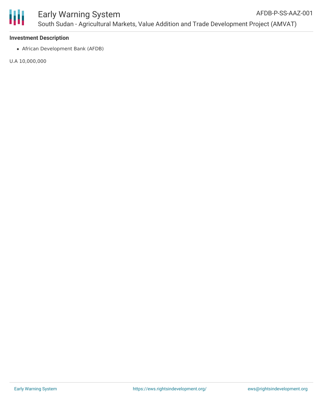

## **Investment Description**

African Development Bank (AFDB)

U.A 10,000,000